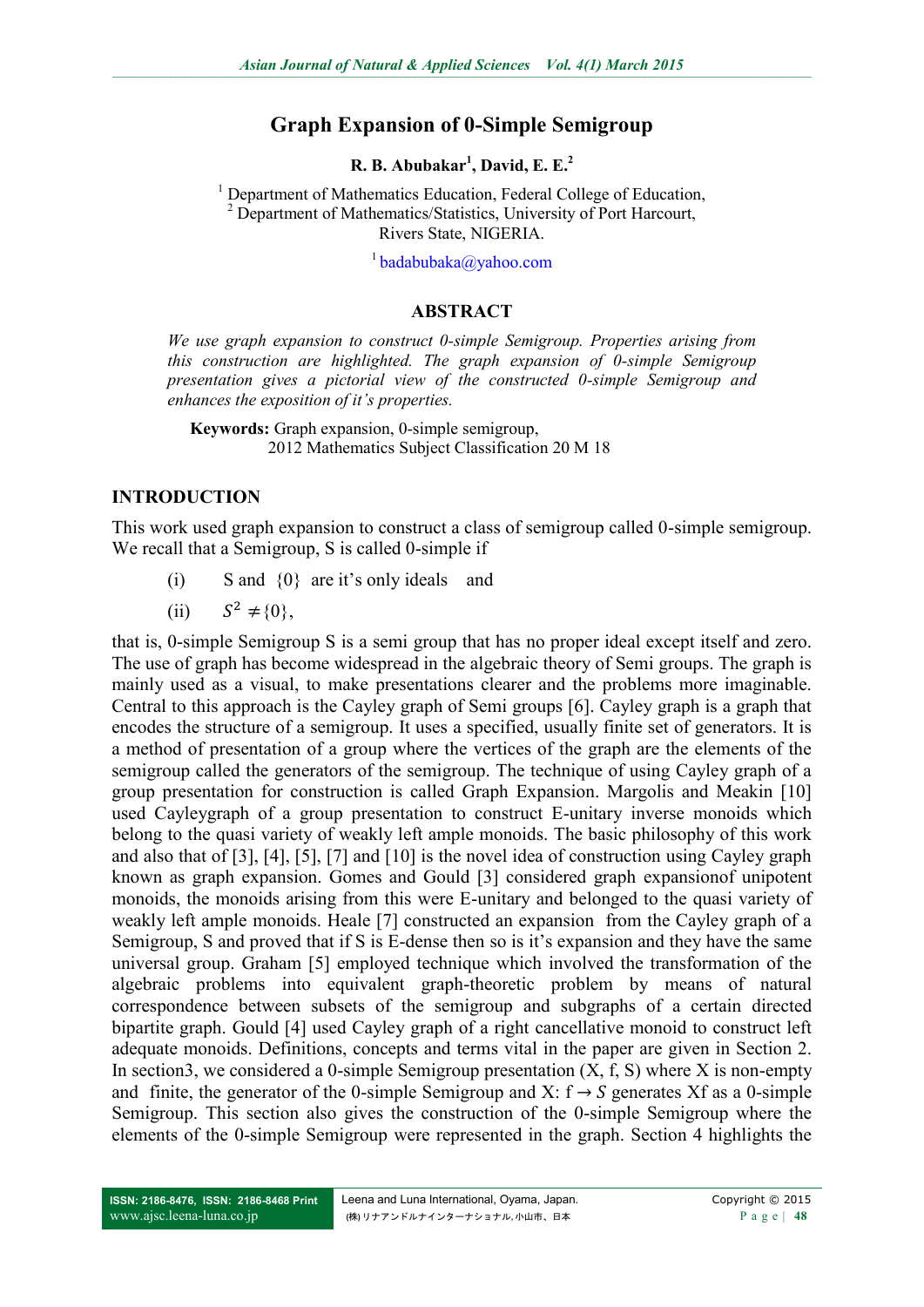# **Graph Expansion of 0-Simple Semigroup**

**R. B. Abubakar<sup>1</sup> , David, E. E.<sup>2</sup>**

<sup>1</sup> Department of Mathematics Education, Federal College of Education, <sup>2</sup> Department of Mathematics/Statistics, University of Port Harcourt, Rivers State, NIGERIA.

 $^{1}$ [badabubaka@yahoo.com](mailto:badabubaka@yahoo.com)

### **ABSTRACT**

*We use graph expansion to construct 0-simple Semigroup. Properties arising from this construction are highlighted. The graph expansion of 0-simple Semigroup presentation gives a pictorial view of the constructed 0-simple Semigroup and enhances the exposition of it's properties.*

**Keywords:** Graph expansion, 0-simple semigroup, 2012 Mathematics Subject Classification 20 M 18

#### **INTRODUCTION**

This work used graph expansion to construct a class of semigroup called 0-simple semigroup. We recall that a Semigroup, S is called 0-simple if

- (i) S and {0} are it's only ideals and
- (ii)  $S^2 \neq \{0\}$ .

that is, 0-simple Semigroup S is a semi group that has no proper ideal except itself and zero. The use of graph has become widespread in the algebraic theory of Semi groups. The graph is mainly used as a visual, to make presentations clearer and the problems more imaginable. Central to this approach is the Cayley graph of Semi groups [6]. Cayley graph is a graph that encodes the structure of a semigroup. It uses a specified, usually finite set of generators. It is a method of presentation of a group where the vertices of the graph are the elements of the semigroup called the generators of the semigroup. The technique of using Cayley graph of a group presentation for construction is called Graph Expansion. Margolis and Meakin [10] used Cayleygraph of a group presentation to construct E-unitary inverse monoids which belong to the quasi variety of weakly left ample monoids. The basic philosophy of this work and also that of [3], [4], [5], [7] and [10] is the novel idea of construction using Cayley graph known as graph expansion. Gomes and Gould [3] considered graph expansionof unipotent monoids, the monoids arising from this were E-unitary and belonged to the quasi variety of weakly left ample monoids. Heale [7] constructed an expansion from the Cayley graph of a Semigroup, S and proved that if S is E-dense then so is it's expansion and they have the same universal group. Graham [5] employed technique which involved the transformation of the algebraic problems into equivalent graph-theoretic problem by means of natural correspondence between subsets of the semigroup and subgraphs of a certain directed bipartite graph. Gould [4] used Cayley graph of a right cancellative monoid to construct left adequate monoids. Definitions, concepts and terms vital in the paper are given in Section 2. In section3, we considered a 0-simple Semigroup presentation  $(X, f, S)$  where X is non-empty and finite, the generator of the 0-simple Semigroup and X:  $f \rightarrow S$  generates Xf as a 0-simple Semigroup. This section also gives the construction of the 0-simple Semigroup where the elements of the 0-simple Semigroup were represented in the graph. Section 4 highlights the

**ISSN: 2186-8476, ISSN: 2186-8468 Print** [www.ajsc.leena-luna.co.jp](http://www.ajssh.leena-luna.co.jp/)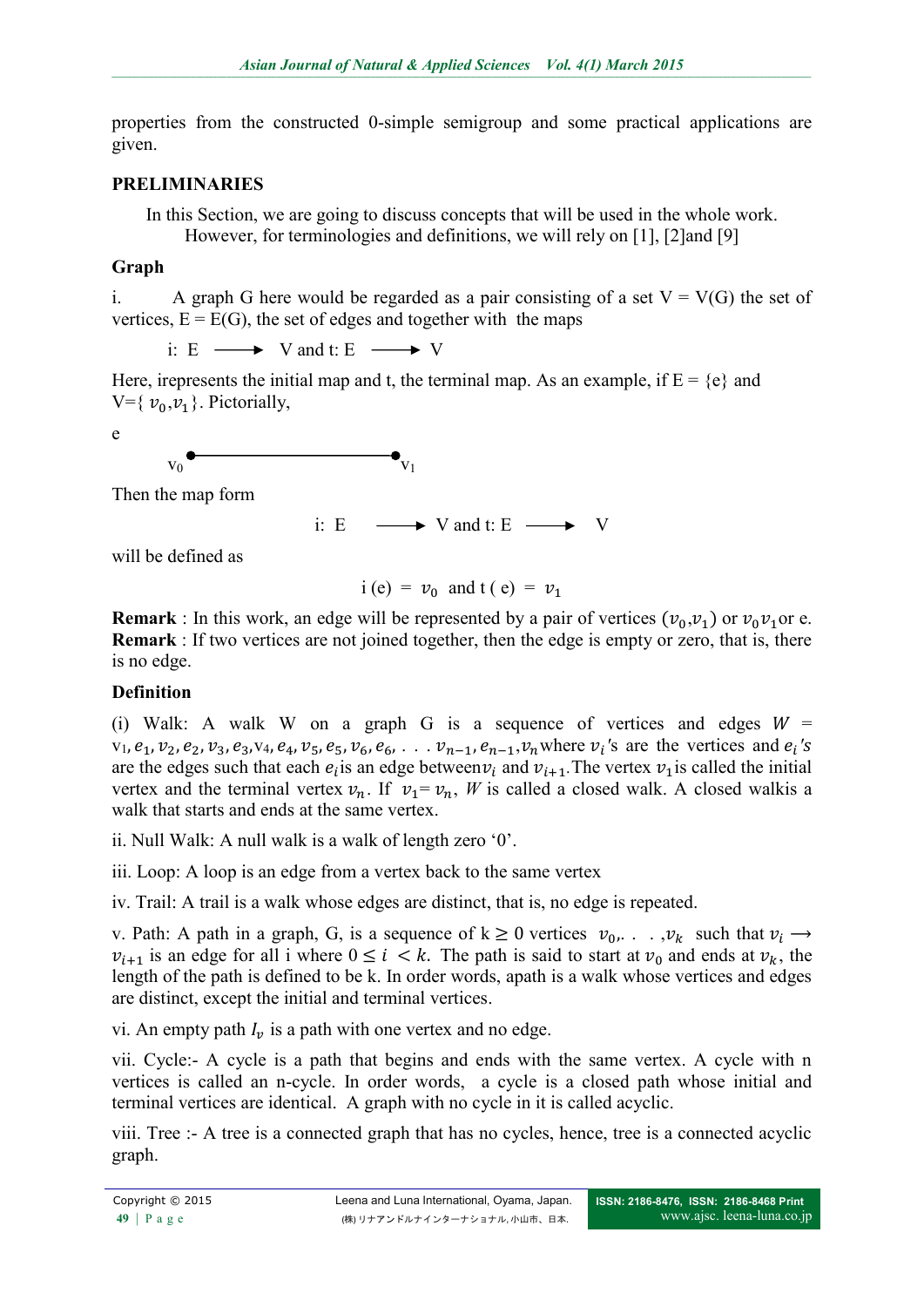properties from the constructed 0-simple semigroup and some practical applications are given.

#### **PRELIMINARIES**

In this Section, we are going to discuss concepts that will be used in the whole work. However, for terminologies and definitions, we will rely on [1], [2]and [9]

#### **Graph**

i. A graph G here would be regarded as a pair consisting of a set  $V = V(G)$  the set of vertices,  $E = E(G)$ , the set of edges and together with the maps

i: E  $\longrightarrow$  V and t: E  $\longrightarrow$  V

Here, irepresents the initial map and t, the terminal map. As an example, if  $E = \{e\}$  and  $V=\{v_0,v_1\}$ . Pictorially,

$$
\mathsf e
$$

 $v_0$ 

Then the map form

i: E  $\longrightarrow$  V and t: E  $\longrightarrow$  V

will be defined as

 $i (e) = v_0$  and  $t (e) = v_1$ 

**Remark** : In this work, an edge will be represented by a pair of vertices  $(v_0, v_1)$  or  $v_0v_1$  or e. **Remark** : If two vertices are not joined together, then the edge is empty or zero, that is, there is no edge.

### **Definition**

(i) Walk: A walk W on a graph G is a sequence of vertices and edges  $W =$  $v_1, e_1, v_2, e_2, v_3, e_3, v_4, e_4, v_5, e_5, v_6, e_6, \ldots v_{n-1}, e_{n-1}, v_n$  where  $v_i$ 's are the vertices and  $e_i$ 's are the edges such that each  $e_i$  is an edge between  $v_i$  and  $v_{i+1}$ . The vertex  $v_1$  is called the initial vertex and the terminal vertex  $v_n$ . If  $v_1 = v_n$ , *W* is called a closed walk. A closed walkis a walk that starts and ends at the same vertex.

ii. Null Walk: A null walk is a walk of length zero '0'.

iii. Loop: A loop is an edge from a vertex back to the same vertex

iv. Trail: A trail is a walk whose edges are distinct, that is, no edge is repeated.

v. Path: A path in a graph, G, is a sequence of  $k \ge 0$  vertices  $v_0, \ldots, v_k$  such that  $v_i \rightarrow$  $v_{i+1}$  is an edge for all i where  $0 \le i \le k$ . The path is said to start at  $v_0$  and ends at  $v_k$ , the length of the path is defined to be k. In order words, apath is a walk whose vertices and edges are distinct, except the initial and terminal vertices.

vi. An empty path  $I_{\nu}$  is a path with one vertex and no edge.

vii. Cycle:- A cycle is a path that begins and ends with the same vertex. A cycle with n vertices is called an n-cycle. In order words, a cycle is a closed path whose initial and terminal vertices are identical. A graph with no cycle in it is called acyclic.

viii. Tree :- A tree is a connected graph that has no cycles, hence, tree is a connected acyclic graph.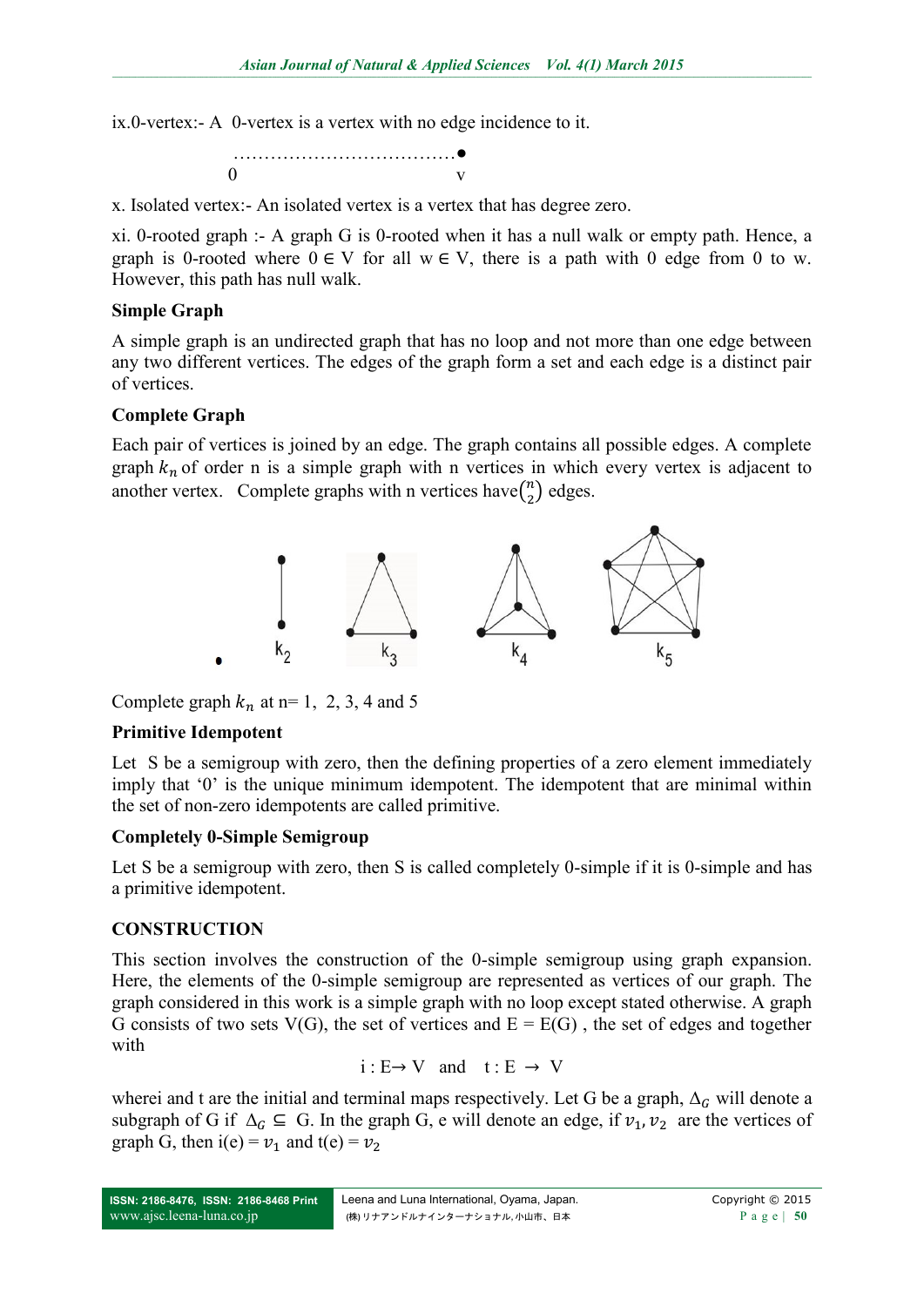ix.0-vertex:- A 0-vertex is a vertex with no edge incidence to it.

……………………………●  $0$  v

x. Isolated vertex:- An isolated vertex is a vertex that has degree zero.

xi. 0-rooted graph :- A graph G is 0-rooted when it has a null walk or empty path. Hence, a graph is 0-rooted where  $0 \in V$  for all  $w \in V$ , there is a path with 0 edge from 0 to w. However, this path has null walk.

## **Simple Graph**

A simple graph is an undirected graph that has no loop and not more than one edge between any two different vertices. The edges of the graph form a set and each edge is a distinct pair of vertices.

#### **Complete Graph**

Each pair of vertices is joined by an edge. The graph contains all possible edges. A complete graph  $k_n$  of order n is a simple graph with n vertices in which every vertex is adjacent to another vertex. Complete graphs with n vertices have  $\binom{n}{2}$  $n \choose 2$  edges.



Complete graph  $k_n$  at n= 1, 2, 3, 4 and 5

### **Primitive Idempotent**

Let S be a semigroup with zero, then the defining properties of a zero element immediately imply that '0' is the unique minimum idempotent. The idempotent that are minimal within the set of non-zero idempotents are called primitive.

### **Completely 0-Simple Semigroup**

Let S be a semigroup with zero, then S is called completely 0-simple if it is 0-simple and has a primitive idempotent.

### **CONSTRUCTION**

This section involves the construction of the 0-simple semigroup using graph expansion. Here, the elements of the 0-simple semigroup are represented as vertices of our graph. The graph considered in this work is a simple graph with no loop except stated otherwise. A graph G consists of two sets V(G), the set of vertices and  $E = E(G)$ , the set of edges and together with

$$
i:E{\rightarrow V} \quad \text{and} \quad t:E{\rightarrow V}
$$

wherei and t are the initial and terminal maps respectively. Let G be a graph,  $\Delta_G$  will denote a subgraph of G if  $\Delta_G \subseteq G$ . In the graph G, e will denote an edge, if  $v_1, v_2$  are the vertices of graph G, then i(e) =  $v_1$  and t(e) =  $v_2$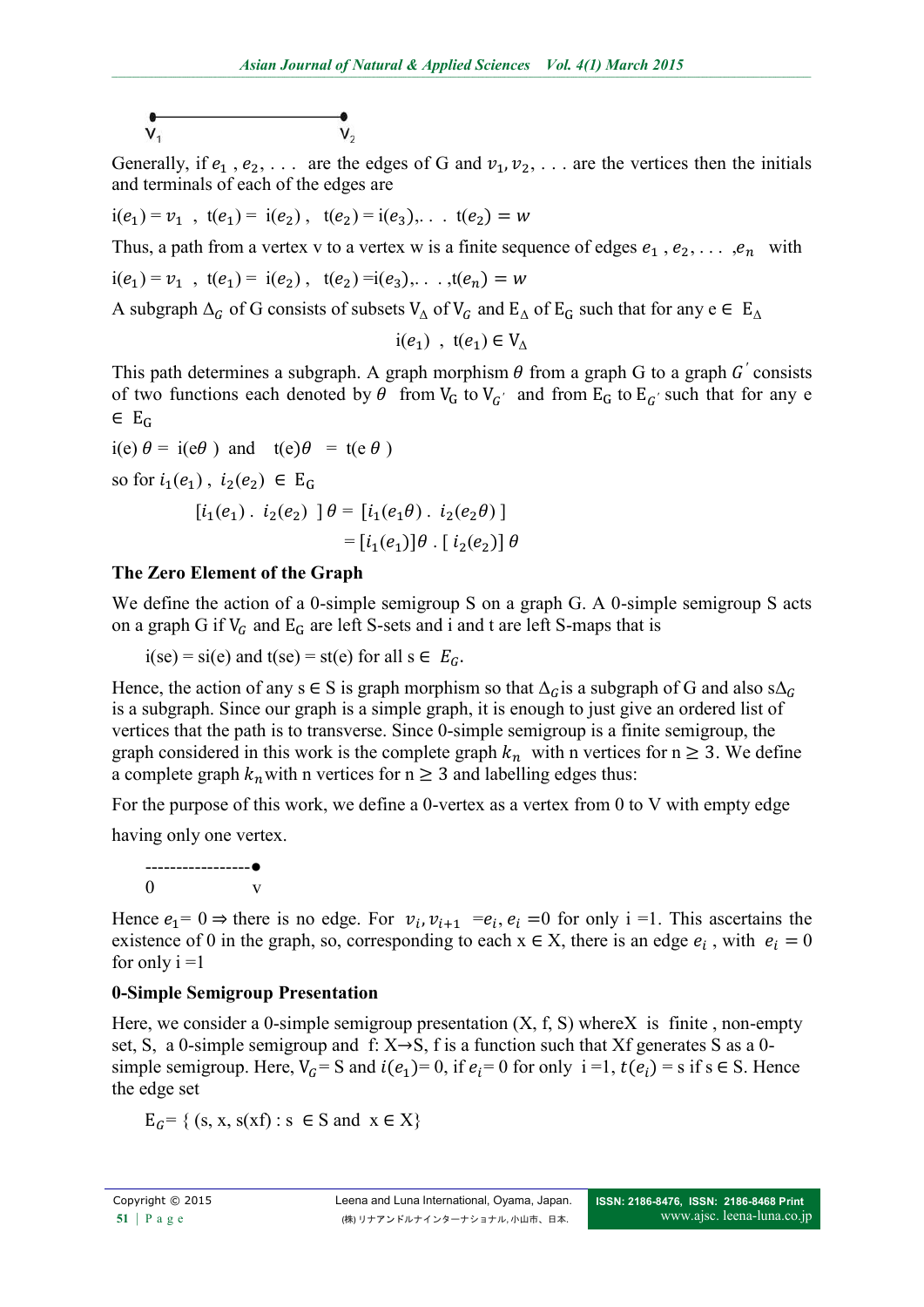$$
\begin{array}{c}\n\bullet \\
V_1\n\end{array}
$$

Generally, if  $e_1$ ,  $e_2$ , ... are the edges of G and  $v_1, v_2, \ldots$  are the vertices then the initials and terminals of each of the edges are

 $i(e_1) = v_1$ ,  $t(e_1) = i(e_2)$ ,  $t(e_2) = i(e_3)$ , ...  $t(e_2) = w_1$ 

Thus, a path from a vertex v to a vertex w is a finite sequence of edges  $e_1$ ,  $e_2$ , ...,  $e_n$  with

$$
i(e_1) = v_1
$$
,  $t(e_1) = i(e_2)$ ,  $t(e_2) = i(e_3)$ , ...,  $t(e_n) = w$ 

A subgraph  $\Delta_G$  of G consists of subsets  $V_{\Delta}$  of  $V_G$  and  $E_{\Delta}$  of  $E_G$  such that for any  $e \in E_{\Delta}$ 

 $i(e_1)$ ,  $t(e_1) \in V_\Lambda$ 

This path determines a subgraph. A graph morphism  $\theta$  from a graph G to a graph G' consists of two functions each denoted by  $\theta$  from  $V_G$  to  $V_{G'}$  and from  $E_G$  to  $E_{G'}$  such that for any e  $\in E_G$ 

$$
i(e) \theta = i(e\theta) \text{ and } t(e)\theta = t(e \theta)
$$
  
so for  $i_1(e_1)$ ,  $i_2(e_2) \in E_G$   

$$
[i_1(e_1) \cdot i_2(e_2) ] \theta = [i_1(e_1\theta) \cdot i_2(e_2\theta) ]
$$

$$
= [i_1(e_1)]\theta \cdot [i_2(e_2)] \theta
$$

### **The Zero Element of the Graph**

We define the action of a 0-simple semigroup S on a graph G. A 0-simple semigroup S acts on a graph G if  $V_G$  and  $E_G$  are left S-sets and i and t are left S-maps that is

 $i(se) = si(e)$  and  $t(se) = st(e)$  for all  $s \in E_c$ .

Hence, the action of any s  $\in$  S is graph morphism so that  $\Delta_G$  is a subgraph of G and also s $\Delta_G$ is a subgraph. Since our graph is a simple graph, it is enough to just give an ordered list of vertices that the path is to transverse. Since 0-simple semigroup is a finite semigroup, the graph considered in this work is the complete graph  $k_n$  with n vertices for  $n \geq 3$ . We define a complete graph  $k_n$  with n vertices for  $n \geq 3$  and labelling edges thus:

For the purpose of this work, we define a 0-vertex as a vertex from 0 to V with empty edge having only one vertex.

-----------------●  $0 \qquad \qquad \text{v}$ 

Hence  $e_1 = 0 \Rightarrow$  there is no edge. For  $v_i$ ,  $v_{i+1} = e_i$ ,  $e_i = 0$  for only i =1. This ascertains the existence of 0 in the graph, so, corresponding to each  $x \in X$ , there is an edge  $e_i$ , with  $e_i = 0$ for only  $i = 1$ 

### **0-Simple Semigroup Presentation**

Here, we consider a 0-simple semigroup presentation  $(X, f, S)$  where X is finite, non-empty set, S, a 0-simple semigroup and f:  $X \rightarrow S$ , f is a function such that Xf generates S as a 0simple semigroup. Here,  $V_G = S$  and  $i(e_1) = 0$ , if  $e_i = 0$  for only  $i = 1$ ,  $t(e_i) = s$  if  $s \in S$ . Hence the edge set

 $E_c = \{ (s, x, s(xf) : s \in S \text{ and } x \in X \}$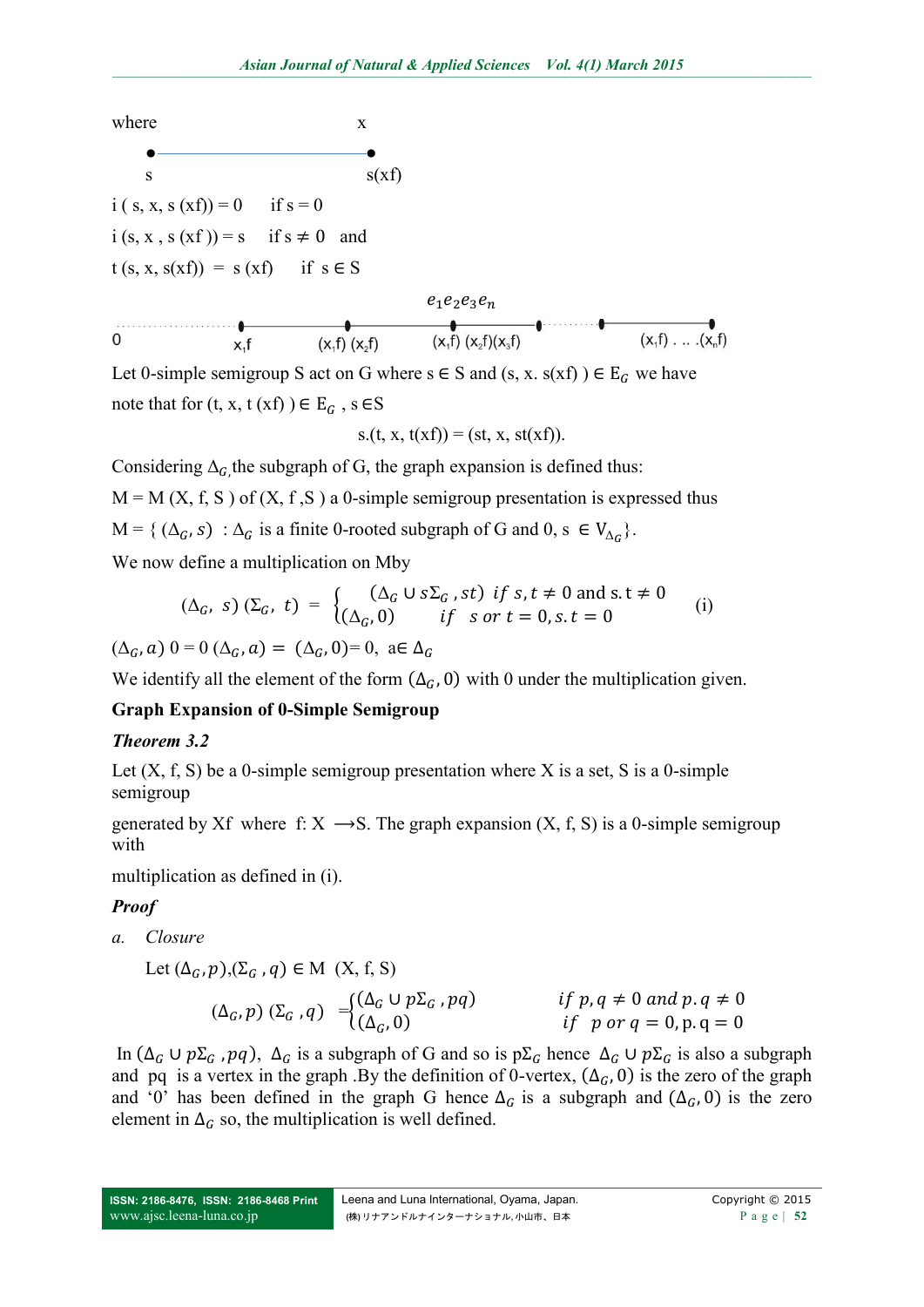

Let 0-simple semigroup S act on G where  $s \in S$  and  $(s, x, s(xf)) \in E_G$  we have note that for  $(t, x, t (xf)) \in E_G$ , s  $\in S$ 

$$
s.(t, x, t(xf)) = (st, x, st(xf)).
$$

Considering  $\Delta_G$ , the subgraph of G, the graph expansion is defined thus:  $M = M(X, f, S)$  of  $(X, f, S)$  a 0-simple semigroup presentation is expressed thus  $M = \{ (\Delta_G, s) : \Delta_G$  is a finite 0-rooted subgraph of G and 0, s  $\in V_{\Delta_G}$ .

We now define a multiplication on Mby

$$
(\Delta_G, s) (\Sigma_G, t) = \begin{cases} (\Delta_G \cup s\Sigma_G, st) & \text{if } s, t \neq 0 \text{ and } s, t \neq 0 \\ (\Delta_G, 0) & \text{if } s \text{ or } t = 0, s, t = 0 \end{cases} \tag{i}
$$

 $(\Delta_G, \alpha)$   $0 = 0$   $(\Delta_G, \alpha) = (\Delta_G, 0) = 0$ ,  $\alpha \in \Delta_G$ 

We identify all the element of the form  $(\Delta_G, 0)$  with 0 under the multiplication given.

## **Graph Expansion of 0-Simple Semigroup**

### *Theorem 3.2*

Let  $(X, f, S)$  be a 0-simple semigroup presentation where X is a set, S is a 0-simple semigroup

generated by Xf where f:  $X \rightarrow S$ . The graph expansion  $(X, f, S)$  is a 0-simple semigroup with

multiplication as defined in (i).

## *Proof*

*a. Closure*

Let 
$$
(\Delta_G, p), (\Sigma_G, q) \in M
$$
 (X, f, S)  
\n $(\Delta_G, p) (\Sigma_G, q) = \begin{cases} (\Delta_G \cup p\Sigma_G, pq) & \text{if } p, q \neq 0 \text{ and } p, q \neq 0 \\ (\Delta_G, 0) & \text{if } p \text{ or } q = 0, p, q = 0 \end{cases}$ 

In  $(\Delta_G \cup p\Sigma_G, pq)$ ,  $\Delta_G$  is a subgraph of G and so is  $p\Sigma_G$  hence  $\Delta_G \cup p\Sigma_G$  is also a subgraph and pq is a vertex in the graph .By the definition of 0-vertex,  $(\Delta_G, 0)$  is the zero of the graph and '0' has been defined in the graph G hence  $\Delta_G$  is a subgraph and  $(\Delta_G, 0)$  is the zero element in  $\Delta_G$  so, the multiplication is well defined.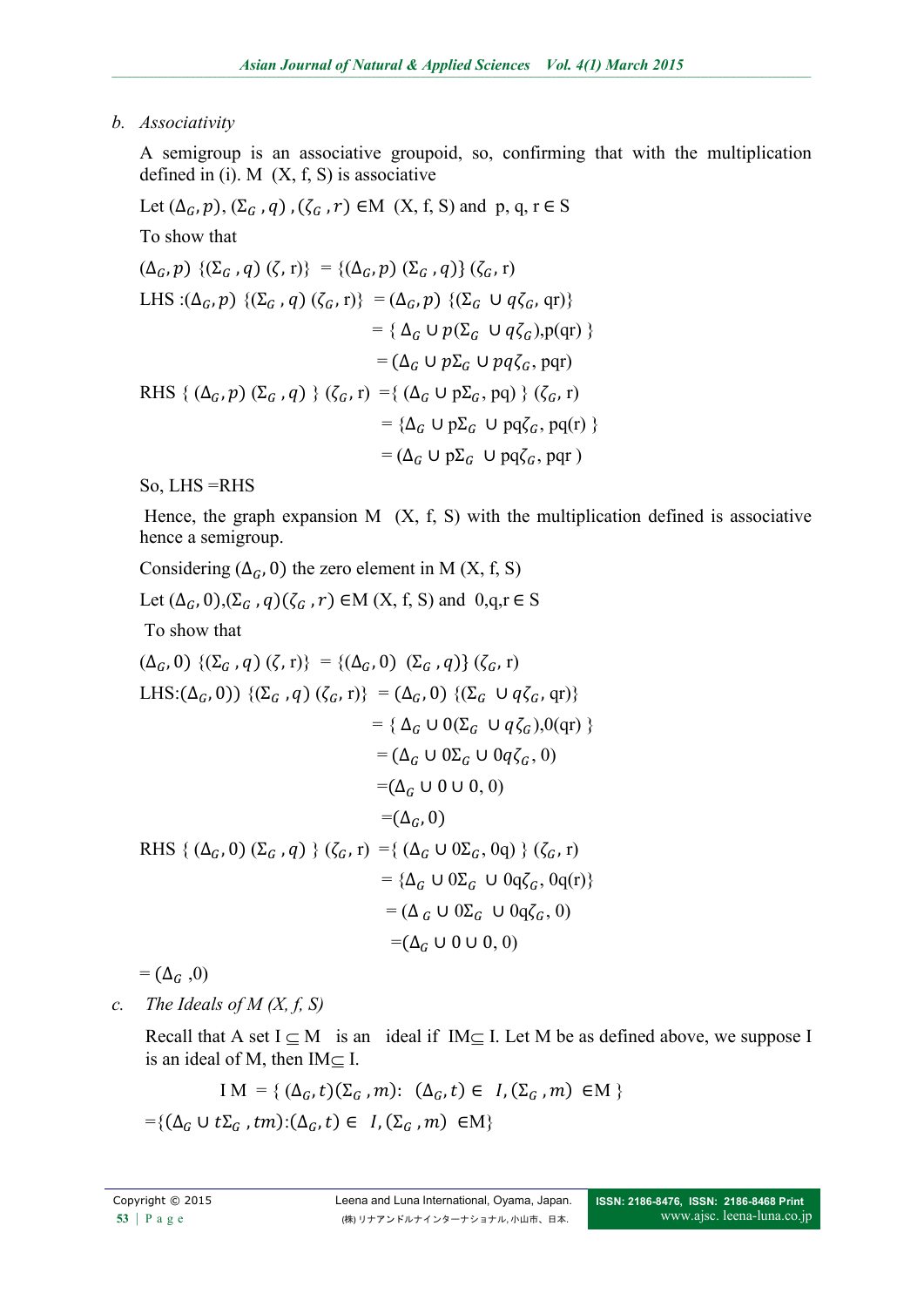*b. Associativity*

A semigroup is an associative groupoid, so, confirming that with the multiplication defined in (i). M  $(X, f, S)$  is associative

Let  $(\Delta_G, p)$ ,  $(\Sigma_G, q)$ ,  $(\zeta_G, r) \in M$   $(X, f, S)$  and p, q, r  $\in S$ 

To show that

$$
(\Delta_G, p) \{(\Sigma_G, q) (\zeta, r)\} = \{(\Delta_G, p) (\Sigma_G, q)\} (\zeta_G, r)
$$
  
\nLHS :  $(\Delta_G, p) \{(\Sigma_G, q) (\zeta_G, r)\} = (\Delta_G, p) \{(\Sigma_G \cup q\zeta_G, qr)\}$   
\n
$$
= \{\Delta_G \cup p(\Sigma_G \cup q\zeta_G), p(qr)\}
$$
  
\n
$$
= (\Delta_G \cup p\Sigma_G \cup pq\zeta_G, pqr)
$$
  
\nRHS {  $(\Delta_G, p) (\Sigma_G, q) \} (\zeta_G, r) = \{(\Delta_G \cup p\Sigma_G, pq) \} (\zeta_G, r)$   
\n
$$
= \{\Delta_G \cup p\Sigma_G \cup pq\zeta_G, pq(r)\}
$$
  
\n
$$
= (\Delta_G \cup p\Sigma_G \cup pq\zeta_G, pqr)
$$

So, LHS =RHS

Hence, the graph expansion  $M$   $(X, f, S)$  with the multiplication defined is associative hence a semigroup.

Considering  $(\Delta_G, 0)$  the zero element in M (X, f, S)

Let  $(\Delta_G, 0), (\Sigma_G, q)(\zeta_G, r) \in M(X, f, S)$  and  $0, q, r \in S$ 

To show that

$$
(\Delta_{G}, 0) \{(\Sigma_{G}, q) (\zeta, r)\} = \{(\Delta_{G}, 0) (\Sigma_{G}, q)\} (\zeta_{G}, r)
$$
  
\nLHS: $(\Delta_{G}, 0)) \{(\Sigma_{G}, q) (\zeta_{G}, r)\} = (\Delta_{G}, 0) \{(\Sigma_{G} \cup q\zeta_{G}, qr)\}$   
\n
$$
= \{\Delta_{G} \cup 0(\Sigma_{G} \cup q\zeta_{G}), 0(qr)\}
$$
  
\n
$$
= (\Delta_{G} \cup 0\Sigma_{G} \cup 0q\zeta_{G}, 0)
$$
  
\n
$$
= (\Delta_{G}, 0)
$$
  
\nRHS $\{(\Delta_{G}, 0) (\Sigma_{G}, q)\} (\zeta_{G}, r) = \{(\Delta_{G} \cup 0\Sigma_{G}, 0q)\} (\zeta_{G}, r)$   
\n
$$
= \{\Delta_{G} \cup 0\Sigma_{G} \cup 0q\zeta_{G}, 0q(r)\}
$$
  
\n
$$
= (\Delta_{G} \cup 0\Sigma_{G} \cup 0q\zeta_{G}, 0)
$$
  
\n
$$
= (\Delta_{G} \cup 0\Sigma_{G} \cup 0q\zeta_{G}, 0)
$$
  
\n
$$
= (\Delta_{G} \cup 0 \cup 0, 0)
$$

 $=$   $(\Delta_G, 0)$ 

*c. The Ideals of M (X, f, S)*

Recall that A set  $I \subseteq M$  is an ideal if  $IM \subseteq I$ . Let M be as defined above, we suppose I is an ideal of M, then  $IM \subseteq I$ .

$$
IM = \{ (\Delta_G, t)(\Sigma_G, m): (\Delta_G, t) \in I, (\Sigma_G, m) \in M \}
$$
  
= \{ (\Delta\_G \cup t\Sigma\_G, tm): (\Delta\_G, t) \in I, (\Sigma\_G, m) \in M \}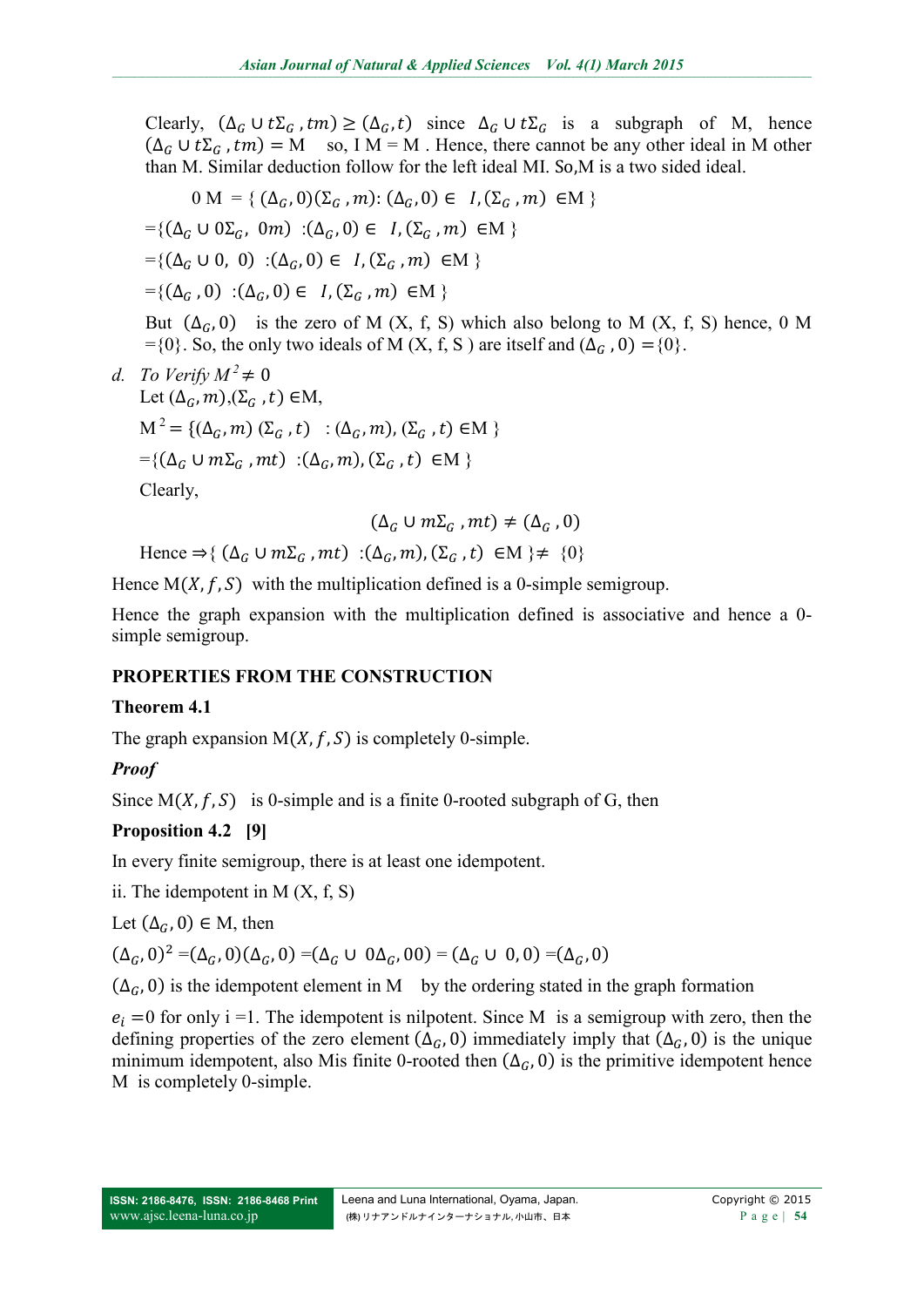Clearly,  $(\Delta_G \cup t\Sigma_G, tm) \geq (\Delta_G, t)$  since  $\Delta_G \cup t\Sigma_G$  is a subgraph of M, hence  $(\Delta_G \cup t\Sigma_G, tm) = M$  so, I M = M. Hence, there cannot be any other ideal in M other than M. Similar deduction follow for the left ideal MI. So,M is a two sided ideal.

$$
0 \text{ M} = \{ (\Delta_G, 0)(\Sigma_G, m) : (\Delta_G, 0) \in I, (\Sigma_G, m) \in M \}
$$
  
=\{ (\Delta\_G \cup 0 \Sigma\_G, 0m) : (\Delta\_G, 0) \in I, (\Sigma\_G, m) \in M \}  
=\{ (\Delta\_G \cup 0, 0) : (\Delta\_G, 0) \in I, (\Sigma\_G, m) \in M \}  
=\{ (\Delta\_G, 0) : (\Delta\_G, 0) \in I, (\Sigma\_G, m) \in M \}

But  $(\Delta_G, 0)$  is the zero of M (X, f, S) which also belong to M (X, f, S) hence, 0 M ={0}. So, the only two ideals of M (X, f, S) are itself and  $(\Delta_G, 0) = \{0\}$ .

*d. To Verify*  $M^2 \neq 0$ Let  $(\Delta_G, m), (\Sigma_G, t) \in M$ ,  $M^{2} = \{(\Delta_{G}, m) (\Sigma_{G}, t) : (\Delta_{G}, m), (\Sigma_{G}, t) \in M \}$  $=\{(\Delta_c \cup m\Sigma_c, mt) : (\Delta_c, m), (\Sigma_c, t) \in M \}$ Clearly,

$$
(\Delta_G \cup m\Sigma_G, mt) \neq (\Delta_G, 0)
$$

Hence  $\Rightarrow$  { ( $\Delta_c \cup m\Sigma_c$ , mt) :( $\Delta_c$ , m), ( $\Sigma_c$ , t)  $\in$  M }  $\neq$  {0}

Hence  $M(X, f, S)$  with the multiplication defined is a 0-simple semigroup.

Hence the graph expansion with the multiplication defined is associative and hence a 0 simple semigroup.

## **PROPERTIES FROM THE CONSTRUCTION**

### **Theorem 4.1**

The graph expansion  $M(X, f, S)$  is completely 0-simple.

## *Proof*

Since  $M(X, f, S)$  is 0-simple and is a finite 0-rooted subgraph of G, then

## **Proposition 4.2 [9]**

In every finite semigroup, there is at least one idempotent.

ii. The idempotent in  $M(X, f, S)$ 

Let  $(\Delta_G, 0) \in M$ , then

 $(\Delta_G, 0)^2 = (\Delta_G, 0)(\Delta_G, 0) = (\Delta_G \cup 0\Delta_G, 00) = (\Delta_G \cup 0, 0) = (\Delta_G, 0)$ 

 $(\Delta_G, 0)$  is the idempotent element in M by the ordering stated in the graph formation

 $e_i = 0$  for only i =1. The idempotent is nilpotent. Since M is a semigroup with zero, then the defining properties of the zero element  $(\Delta_G, 0)$  immediately imply that  $(\Delta_G, 0)$  is the unique minimum idempotent, also Mis finite 0-rooted then  $(\Delta_{G}, 0)$  is the primitive idempotent hence M is completely 0-simple.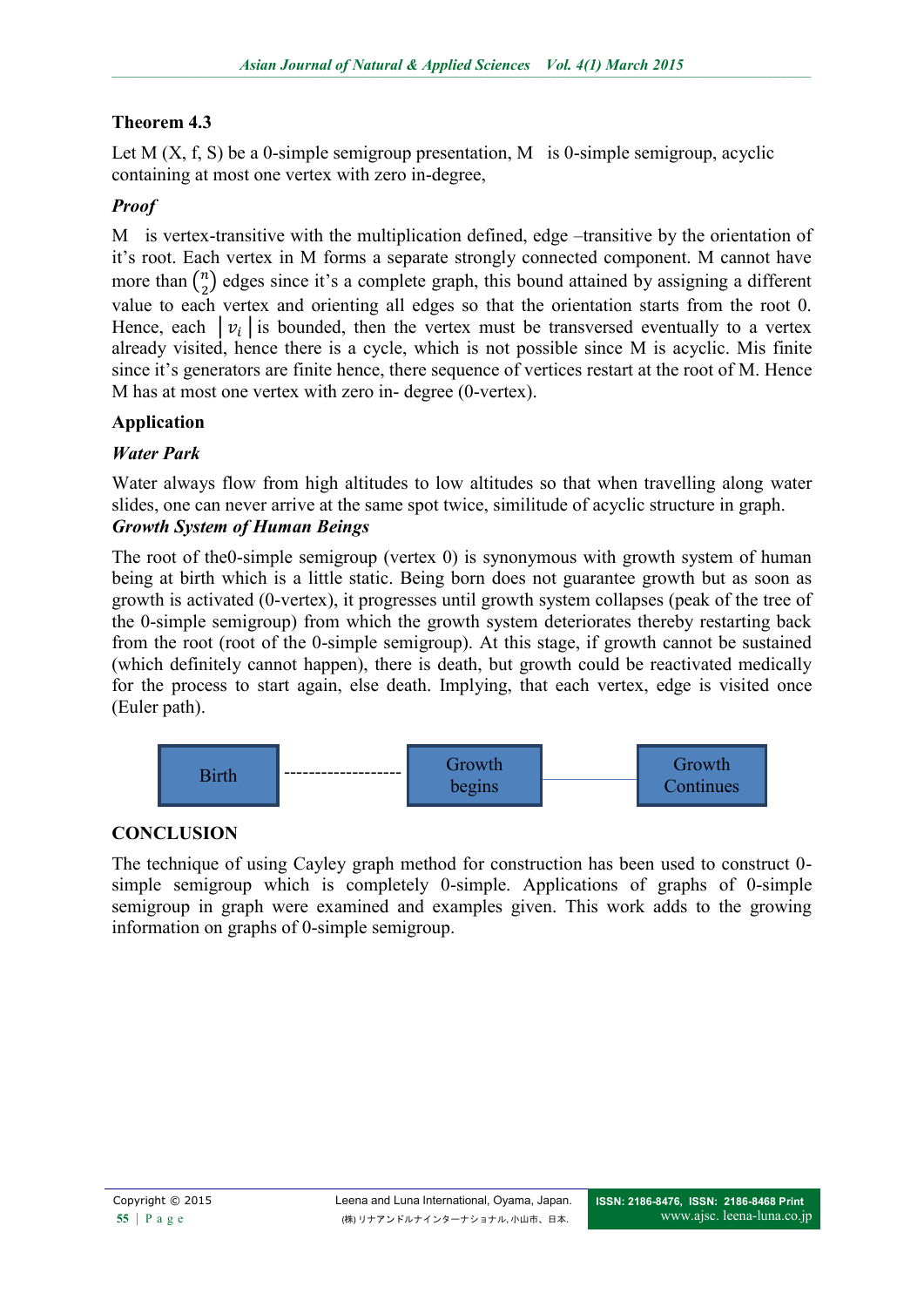# **Theorem 4.3**

Let M  $(X, f, S)$  be a 0-simple semigroup presentation, M is 0-simple semigroup, acyclic containing at most one vertex with zero in-degree,

# *Proof*

M is vertex-transitive with the multiplication defined, edge –transitive by the orientation of it's root. Each vertex in M forms a separate strongly connected component. M cannot have more than  $\binom{n}{2}$  edges since it's a complete graph, this bound attained by assigning a different value to each vertex and orienting all edges so that the orientation starts from the root 0. Hence, each  $|v_i|$  is bounded, then the vertex must be transversed eventually to a vertex already visited, hence there is a cycle, which is not possible since M is acyclic. Mis finite since it's generators are finite hence, there sequence of vertices restart at the root of M. Hence M has at most one vertex with zero in- degree (0-vertex).

# **Application**

# *Water Park*

Water always flow from high altitudes to low altitudes so that when travelling along water slides, one can never arrive at the same spot twice, similitude of acyclic structure in graph. *Growth System of Human Beings*

The root of the0-simple semigroup (vertex 0) is synonymous with growth system of human being at birth which is a little static. Being born does not guarantee growth but as soon as growth is activated (0-vertex), it progresses until growth system collapses (peak of the tree of the 0-simple semigroup) from which the growth system deteriorates thereby restarting back from the root (root of the 0-simple semigroup). At this stage, if growth cannot be sustained (which definitely cannot happen), there is death, but growth could be reactivated medically for the process to start again, else death. Implying, that each vertex, edge is visited once (Euler path).



## **CONCLUSION**

The technique of using Cayley graph method for construction has been used to construct 0 simple semigroup which is completely 0-simple. Applications of graphs of 0-simple semigroup in graph were examined and examples given. This work adds to the growing information on graphs of 0-simple semigroup.